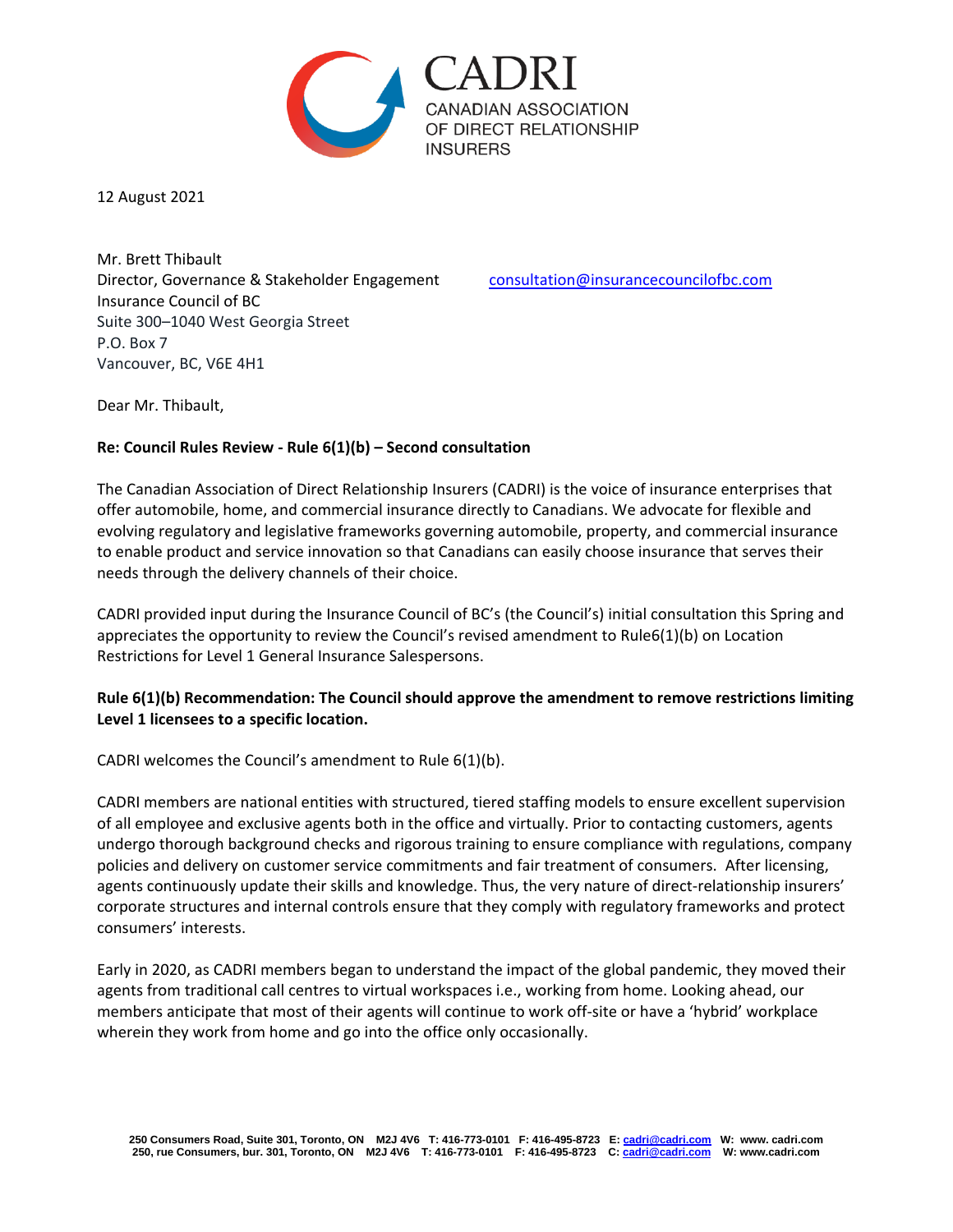

12 August 2021

Mr. Brett Thibault Director, Governance & Stakeholder Engagement [consultation@insurancecouncilofbc.com](mailto:consultation@insurancecouncilofbc.com) Insurance Council of BC Suite 300–1040 West Georgia Street P.O. Box 7 Vancouver, BC, V6E 4H1

Dear Mr. Thibault,

## **Re: Council Rules Review - Rule 6(1)(b) – Second consultation**

The Canadian Association of Direct Relationship Insurers (CADRI) is the voice of insurance enterprises that offer automobile, home, and commercial insurance directly to Canadians. We advocate for flexible and evolving regulatory and legislative frameworks governing automobile, property, and commercial insurance to enable product and service innovation so that Canadians can easily choose insurance that serves their needs through the delivery channels of their choice.

CADRI provided input during the Insurance Council of BC's (the Council's) initial consultation this Spring and appreciates the opportunity to review the Council's revised amendment to Rule6(1)(b) on Location Restrictions for Level 1 General Insurance Salespersons.

## **Rule 6(1)(b) Recommendation: The Council should approve the amendment to remove restrictions limiting Level 1 licensees to a specific location.**

CADRI welcomes the Council's amendment to Rule 6(1)(b).

CADRI members are national entities with structured, tiered staffing models to ensure excellent supervision of all employee and exclusive agents both in the office and virtually. Prior to contacting customers, agents undergo thorough background checks and rigorous training to ensure compliance with regulations, company policies and delivery on customer service commitments and fair treatment of consumers.After licensing, agents continuously update their skills and knowledge. Thus, the very nature of direct-relationship insurers' corporate structures and internal controls ensure that they comply with regulatory frameworks and protect consumers' interests.

Early in 2020, as CADRI members began to understand the impact of the global pandemic, they moved their agents from traditional call centres to virtual workspaces i.e., working from home. Looking ahead, our members anticipate that most of their agents will continue to work off-site or have a 'hybrid' workplace wherein they work from home and go into the office only occasionally.